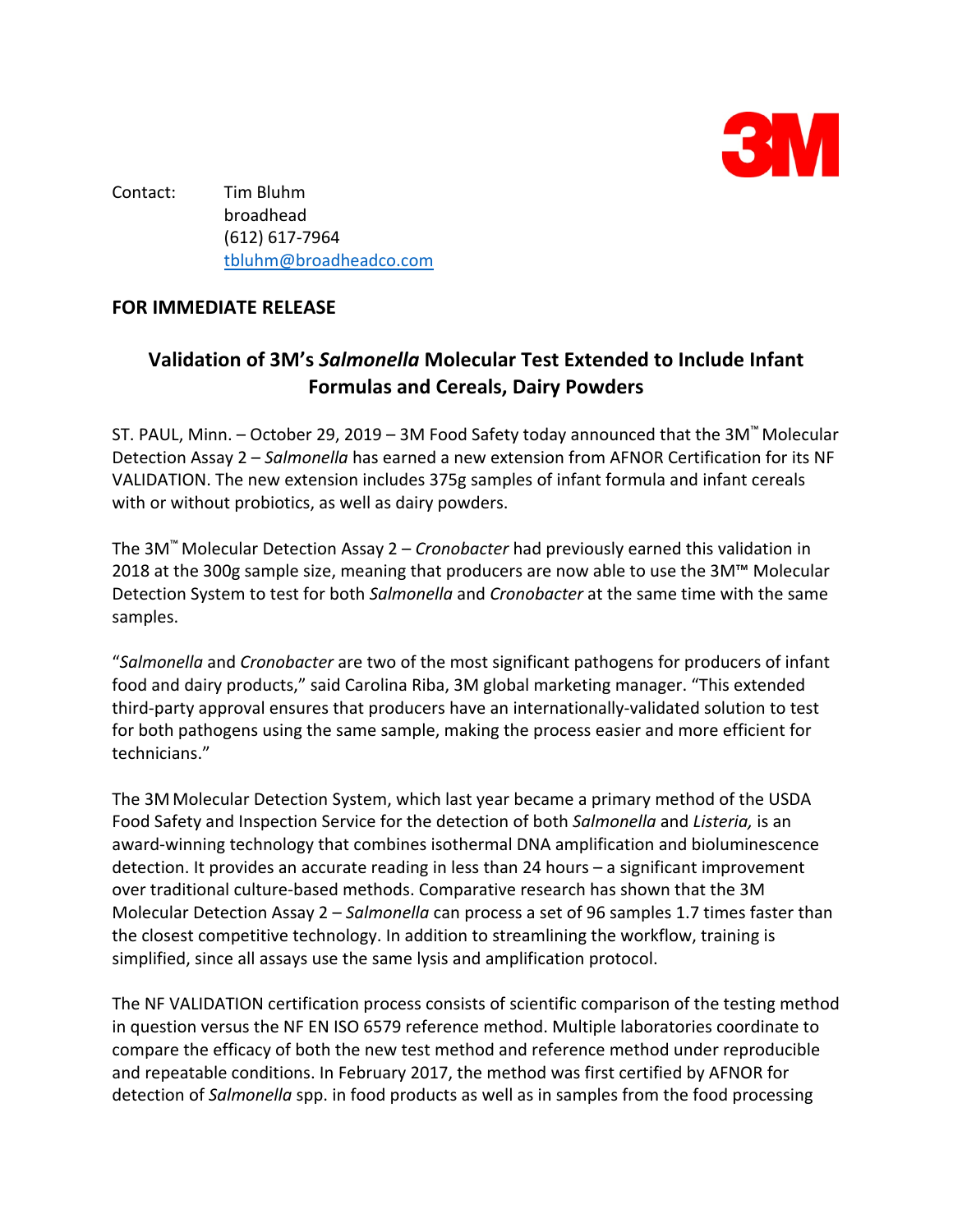

Contact: Tim Bluhm broadhead (612) 617-7964 tbluhm@broadheadco.com

## **FOR IMMEDIATE RELEASE**

## **Validation of 3M's** *Salmonella* **Molecular Test Extended to Include Infant Formulas and Cereals, Dairy Powders**

ST. PAUL, Minn. – October 29, 2019 – 3M Food Safety today announced that the 3M™ Molecular Detection Assay 2 – *Salmonella* has earned a new extension from AFNOR Certification for its NF VALIDATION. The new extension includes 375g samples of infant formula and infant cereals with or without probiotics, as well as dairy powders.

The 3M™ Molecular Detection Assay 2 – *Cronobacter* had previously earned this validation in 2018 at the 300g sample size, meaning that producers are now able to use the 3M™ Molecular Detection System to test for both *Salmonella* and *Cronobacter* at the same time with the same samples.

"*Salmonella* and *Cronobacter* are two of the most significant pathogens for producers of infant food and dairy products," said Carolina Riba, 3M global marketing manager. "This extended third-party approval ensures that producers have an internationally-validated solution to test for both pathogens using the same sample, making the process easier and more efficient for technicians."

The 3M Molecular Detection System, which last year became a primary method of the USDA Food Safety and Inspection Service for the detection of both *Salmonella* and *Listeria,* is an award-winning technology that combines isothermal DNA amplification and bioluminescence detection. It provides an accurate reading in less than 24 hours – a significant improvement over traditional culture-based methods. Comparative research has shown that the 3M Molecular Detection Assay 2 – *Salmonella* can process a set of 96 samples 1.7 times faster than the closest competitive technology. In addition to streamlining the workflow, training is simplified, since all assays use the same lysis and amplification protocol.

The NF VALIDATION certification process consists of scientific comparison of the testing method in question versus the NF EN ISO 6579 reference method. Multiple laboratories coordinate to compare the efficacy of both the new test method and reference method under reproducible and repeatable conditions. In February 2017, the method was first certified by AFNOR for detection of *Salmonella* spp. in food products as well as in samples from the food processing